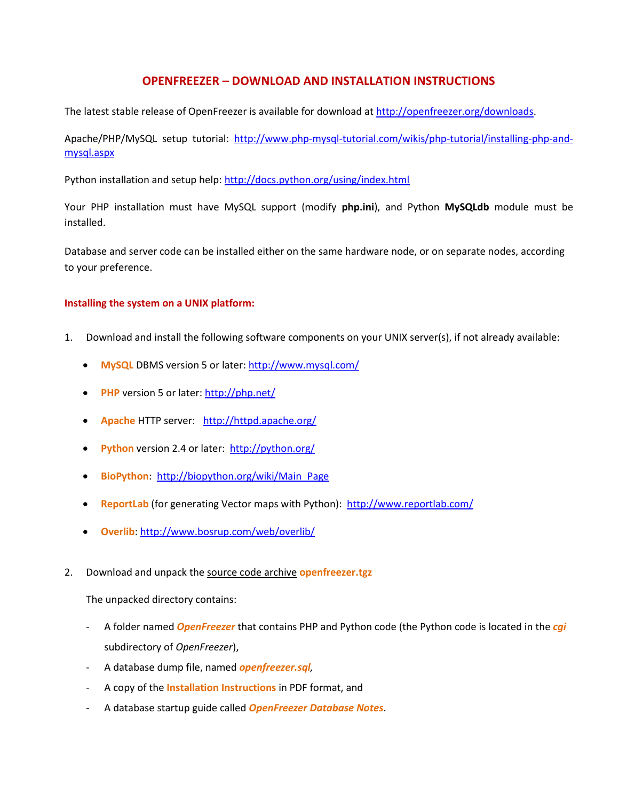## **OPENFREEZER – DOWNLOAD AND INSTALLATION INSTRUCTIONS**

The latest stable release of OpenFreezer is available for download at [http://openfreezer.org/downloads.](http://openfreezer.org/downloads)

Apache/PHP/MySQL setup tutorial: [http://www.php-mysql-tutorial.com/wikis/php-tutorial/installing-php-and](http://www.php-mysql-tutorial.com/wikis/php-tutorial/installing-php-and-mysql.aspx)[mysql.aspx](http://www.php-mysql-tutorial.com/wikis/php-tutorial/installing-php-and-mysql.aspx)

Python installation and setup help:<http://docs.python.org/using/index.html>

Your PHP installation must have MySQL support (modify **php.ini**), and Python **MySQLdb** module must be installed.

Database and server code can be installed either on the same hardware node, or on separate nodes, according to your preference.

## **Installing the system on a UNIX platform:**

- 1. Download and install the following software components on your UNIX server(s), if not already available:
	- **MySQL** DBMS version 5 or later:<http://www.mysql.com/>
	- **PHP** version 5 or later[: http://php.net/](http://php.net/)
	- **Apache** HTTP server[:](http://apache.org/) <http://httpd.apache.org/>
	- **Python** version 2.4 or later: <http://python.org/>
	- **BioPython**: [http://biopython.org/wiki/Main\\_Page](http://biopython.org/wiki/Main_Page)
	- **ReportLab** (for generating Vector maps with Python): <http://www.reportlab.com/>
	- **Overlib**[: http://www.bosrup.com/web/overlib/](http://www.bosrup.com/web/overlib/)
- 2. Download and unpack the source code archive **openfreezer.tgz**

The unpacked directory contains:

- A folder named *OpenFreezer* that contains PHP and Python code (the Python code is located in the *cgi* subdirectory of *OpenFreezer*),
- A database dump file, named *openfreezer.sql,*
- A copy of the **Installation Instructions** in PDF format, and
- A database startup guide called *OpenFreezer Database Notes*.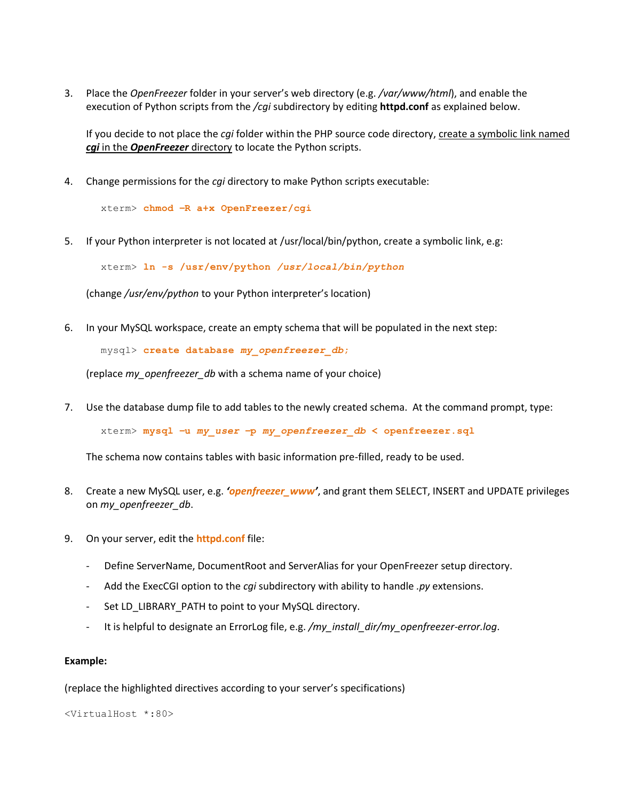3. Place the *OpenFreezer* folder in your server's web directory (e.g. */var/www/html*), and enable the execution of Python scripts from the */cgi* subdirectory by editing **httpd.conf** as explained below.

If you decide to not place the *cgi* folder within the PHP source code directory, create a symbolic link named *cgi* in the *OpenFreezer* directory to locate the Python scripts.

4. Change permissions for the *cgi* directory to make Python scripts executable:

xterm> **chmod –R a+x OpenFreezer/cgi**

5. If your Python interpreter is not located at /usr/local/bin/python, create a symbolic link, e.g:

xterm> **ln -s /usr/env/python** */usr/local/bin/python*

(change */usr/env/python* to your Python interpreter's location)

6. In your MySQL workspace, create an empty schema that will be populated in the next step:

mysql> **create database** *my\_openfreezer\_db***;**

(replace *my\_openfreezer\_db* with a schema name of your choice)

7. Use the database dump file to add tables to the newly created schema. At the command prompt, type:

xterm> **mysql –u** *my\_user* **–p** *my\_openfreezer\_db* **< openfreezer.sql**

The schema now contains tables with basic information pre-filled, ready to be used.

- 8. Create a new MySQL user, e.g. *'openfreezer\_www'*, and grant them SELECT, INSERT and UPDATE privileges on *my\_openfreezer\_db*.
- 9. On your server, edit the **httpd.conf** file:
	- Define ServerName, DocumentRoot and ServerAlias for your OpenFreezer setup directory.
	- Add the ExecCGI option to the *cgi* subdirectory with ability to handle *.py* extensions.
	- Set LD\_LIBRARY\_PATH to point to your MySQL directory.
	- It is helpful to designate an ErrorLog file, e.g. */my\_install\_dir/my\_openfreezer-error.log*.

## **Example:**

(replace the highlighted directives according to your server's specifications)

<VirtualHost \*:80>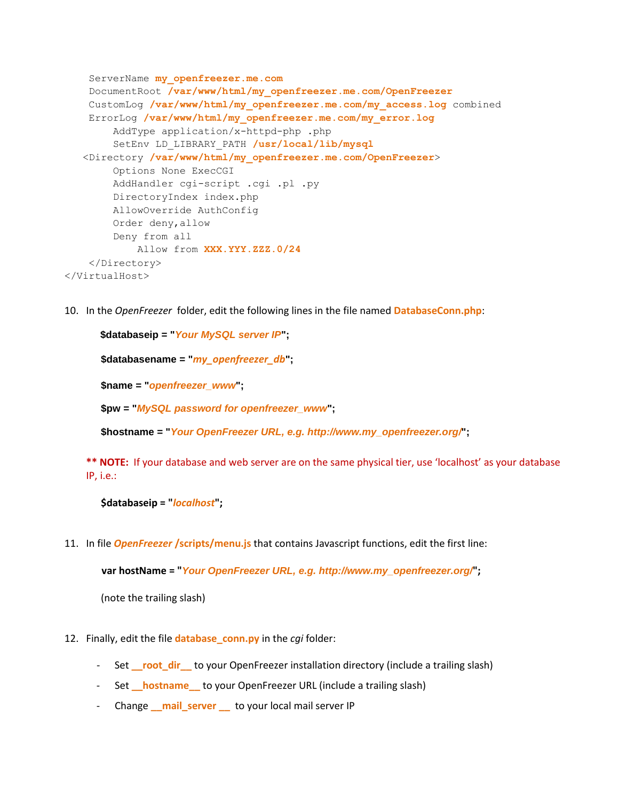```
 ServerName my_openfreezer.me.com
     DocumentRoot /var/www/html/my_openfreezer.me.com/OpenFreezer
     CustomLog /var/www/html/my_openfreezer.me.com/my_access.log combined
     ErrorLog /var/www/html/my_openfreezer.me.com/my_error.log
         AddType application/x-httpd-php .php
         SetEnv LD_LIBRARY_PATH /usr/local/lib/mysql
    <Directory /var/www/html/my_openfreezer.me.com/OpenFreezer>
         Options None ExecCGI
         AddHandler cgi-script .cgi .pl .py
         DirectoryIndex index.php
         AllowOverride AuthConfig
         Order deny,allow
         Deny from all
            Allow from XXX.YYY.ZZZ.0/24
     </Directory>
</VirtualHost>
```
10. In the *OpenFreezer* folder, edit the following lines in the file named **DatabaseConn.php**:

```
$databaseip = "Your MySQL server IP";
$databasename = "my_openfreezer_db";
$name = "openfreezer_www";
$pw = "MySQL password for openfreezer_www";
```
**\$hostname = "***Your OpenFreezer URL, e.g. http://www.my\_openfreezer.org/***";**

**\*\* NOTE:** If your database and web server are on the same physical tier, use 'localhost' as your database IP, i.e.:

```
$databaseip = "localhost";
```
11. In file *OpenFreezer* **/scripts/menu.js** that contains Javascript functions, edit the first line:

**var hostName = "***Your OpenFreezer URL, e.g. http://www.my\_openfreezer.org/***";**

(note the trailing slash)

- 12. Finally, edit the file **database\_conn.py** in the *cgi* folder:
	- Set **\_\_root\_dir\_\_** to your OpenFreezer installation directory (include a trailing slash)
	- Set **hostname** to your OpenFreezer URL (include a trailing slash)
	- Change mail server to your local mail server IP